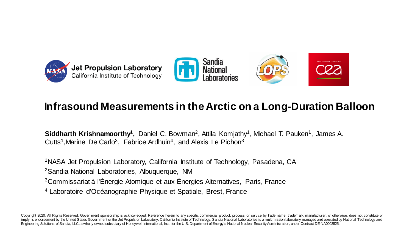





#### **Infrasound Measurements in the Arctic on a Long-Duration Balloon**

Siddharth Krishnamoorthy<sup>1</sup>, Daniel C. Bowman<sup>2</sup>, Attila Komjathy<sup>1</sup>, Michael T. Pauken<sup>1</sup>, James A. Cutts<sup>1</sup>, Marine De Carlo<sup>3</sup>, Fabrice Ardhuin<sup>4</sup>, and Alexis Le Pichon<sup>3</sup>

<sup>1</sup>NASA Jet Propulsion Laboratory, California Institute of Technology, Pasadena, CA

<sup>2</sup>Sandia National Laboratories, Albuquerque, NM

<sup>3</sup>Commissariat à l'Énergie Atomique et aux Énergies Alternatives, Paris, France

<sup>4</sup> Laboratoire d'Océanographie Physique et Spatiale, Brest, France

Copyright 2020. All Rights Reserved. Goverment sponsorship is acknowledged. Reference herein to any specific commercial product, process, or service by trade name, trademark, manufacturer, or otherwise, does not constitute imply its endorsement by the United States Government or the Jet Propulsion Laboratory, California Institute of Technology. Sandia National Laboratories is a multimission laboratory managed and operated by National Technol Engineering Solutions of Sandia, LLC, a wholly owned subsidiary of Honeywell International, Inc., for the U.S. Department of Energy's National Nuclear SecurityAdministration, under Contract DE-NA0003525.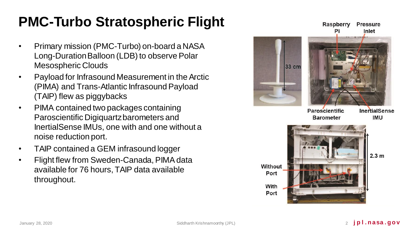# **PMC-Turbo Stratospheric Flight**

- Primary mission (PMC-Turbo) on-board a NASA Long-Duration Balloon (LDB) to observe Polar Mesospheric Clouds
- Payload for Infrasound Measurement in the Arctic (PIMA) and Trans-Atlantic Infrasound Payload (TAIP) flew as piggybacks
- PIMA contained two packages containing Paroscientific Digiquartzbarometers and InertialSense IMUs, one with and one without a noise reduction port.
- TAIP contained a GEM infrasound logger
- Flight flew from Sweden-Canada, PIMA data available for 76 hours, TAIP data available throughout.

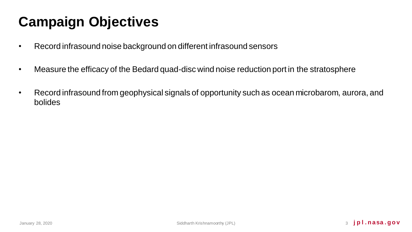# **Campaign Objectives**

- Record infrasound noise background on different infrasound sensors
- Measure the efficacy of the Bedard quad-disc wind noise reduction port in the stratosphere
- Record infrasound from geophysical signals of opportunity such as ocean microbarom, aurora, and bolides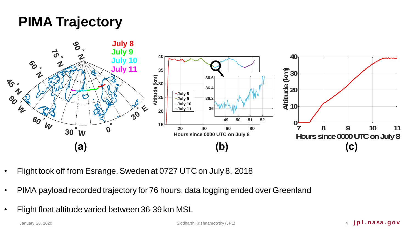## **PIMA Trajectory**



- Flight took off from Esrange, Sweden at 0727 UTC on July 8, 2018
- PIMA payload recorded trajectory for 76 hours, data logging ended over Greenland
- Flight float altitude varied between 36-39 km MSL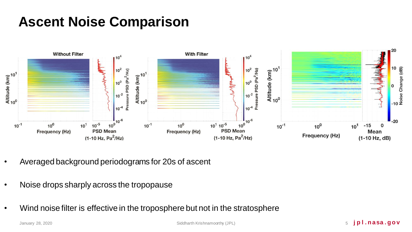## **Ascent Noise Comparison**



- Averaged background periodograms for 20s of ascent
- Noise drops sharply across the tropopause
- Wind noise filter is effective in the troposphere but not in the stratosphere

January 28, 2020 Siddharth Krishnamoorthy (JPL) 5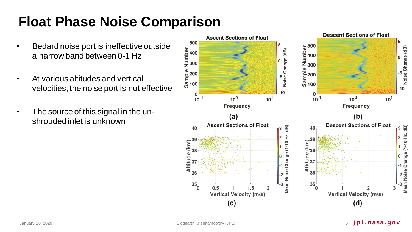## **Float Phase Noise Comparison**

- Bedard noise port is ineffective outside a narrow band between 0-1 Hz
- At various altitudes and vertical velocities, the noise port is not effective
- The source of this signal in the unshrouded inlet is unknown

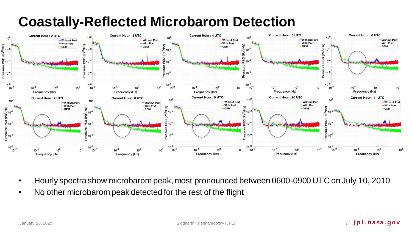## **Coastally-Reflected Microbarom Detection**



- Hourly spectra show microbarom peak, most pronounced between 0600-0900 UTC on July 10, 2010
- No other microbarom peak detected for the rest of the flight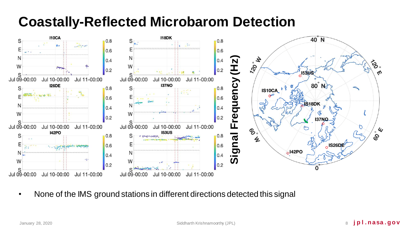## **Coastally-Reflected Microbarom Detection**



• None of the IMS ground stations in different directions detected this signal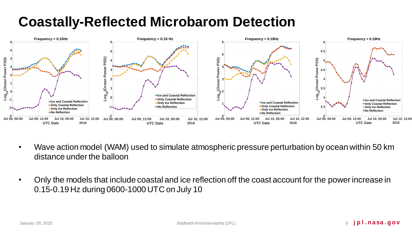## **Coastally-Reflected Microbarom Detection**



- Wave action model (WAM) used to simulate atmospheric pressure perturbation by ocean within 50 km distance under the balloon
- Only the models that include coastal and ice reflection off the coast account for the power increase in 0.15-0.19 Hz during 0600-1000 UTC on July 10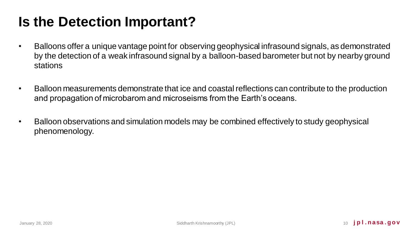## **Is the Detection Important?**

- Balloons offer a unique vantage point for observing geophysical infrasound signals, as demonstrated by the detection of a weak infrasound signal by a balloon-based barometer but not by nearby ground stations
- Balloon measurements demonstrate that ice and coastal reflections can contribute to the production and propagation of microbarom and microseisms from the Earth's oceans.
- Balloon observations and simulation models may be combined effectively to study geophysical phenomenology.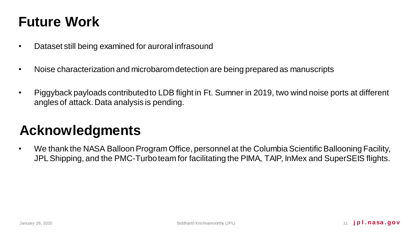## **Future Work**

- Dataset still being examined for auroral infrasound
- Noise characterization and microbarom detection are being prepared as manuscripts
- Piggyback payloads contributed to LDB flight in Ft. Sumner in 2019, two wind noise ports at different angles of attack. Data analysis is pending.

## **Acknowledgments**

• We thank the NASA Balloon Program Office, personnel at the Columbia Scientific Ballooning Facility, JPL Shipping, and the PMC-Turbo team for facilitating the PIMA, TAIP, InMex and SuperSEIS flights.